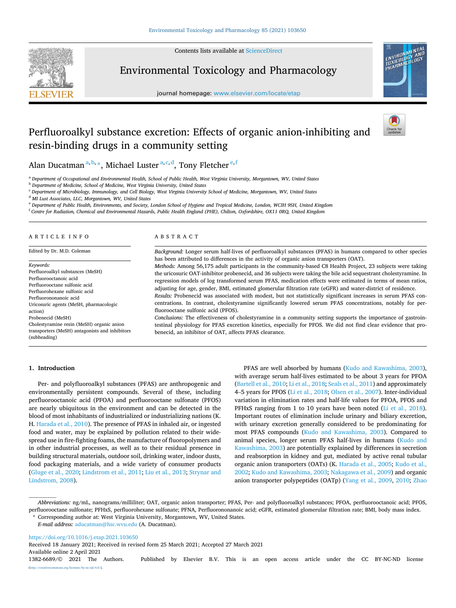Contents lists available at [ScienceDirect](www.sciencedirect.com/science/journal/13826689)



Environmental Toxicology and Pharmacology

journal homepage: [www.elsevier.com/locate/etap](https://www.elsevier.com/locate/etap)



# Perfluoroalkyl substance excretion: Effects of organic anion-inhibiting and resin-binding drugs in a community setting



Alan Ducatman<sup>a, b,</sup>  $\star$ , Michael Luster<sup>a, c, d</sup>, Tony Fletcher<sup>e, f</sup>

<sup>a</sup> *Department of Occupational and Environmental Health, School of Public Health, West Virginia University, Morgantown, WV, United States* 

<sup>b</sup> *Department of Medicine, School of Medicine, West Virginia University, United States* 

<sup>c</sup> *Department of Microbiology, Immunology, and Cell Biology, West Virginia University School of Medicine, Morgantown, WV, United States* 

<sup>d</sup> *MI Lust Associates, LLC, Morgantown, WV, United States* 

<sup>e</sup> *Department of Public Health, Environments, and Society, London School of Hygiene and Tropical Medicine, London, WCIH 9SH, United Kingdom* 

<sup>f</sup> *Centre for Radiation, Chemical and Environmental Hazards, Public Health England (PHE), Chilton, Oxfordshire, OX11 0RQ, United Kingdom* 

## ARTICLE INFO

Edited by Dr. M.D. Coleman

*Keywords:*  Perfluoroalkyl substances (MeSH) Perfluorooctanoic acid Perfluorooctane sulfonic acid Perfluorohexane sulfonic acid Perfluorononanoic acid Uricosuric agents (MeSH, pharmacologic action) Probenecid (MeSH) Cholestyramine resin (MeSH) organic anion transporters (MeSH) antagonists and inhibitors (subheading)

# ABSTRACT

*Background:* Longer serum half-lives of perfluoroalkyl substances (PFAS) in humans compared to other species has been attributed to differences in the activity of organic anion transporters (OAT). *Methods:* Among 56,175 adult participants in the community-based C8 Health Project, 23 subjects were taking

the uricosuric OAT-inhibitor probenecid, and 36 subjects were taking the bile acid sequestrant cholestyramine. In regression models of log transformed serum PFAS, medication effects were estimated in terms of mean ratios, adjusting for age, gender, BMI, estimated glomerular filtration rate (eGFR) and water-district of residence. *Results:* Probenecid was associated with modest, but not statistically significant increases in serum PFAS concentrations. In contrast, cholestyramine significantly lowered serum PFAS concentrations, notably for perfluorooctane sulfonic acid (PFOS).

*Conclusions:* The effectiveness of cholestyramine in a community setting supports the importance of gastrointestinal physiology for PFAS excretion kinetics, especially for PFOS. We did not find clear evidence that probenecid, an inhibitor of OAT, affects PFAS clearance.

#### **1. Introduction**

Per- and polyfluoroalkyl substances (PFAS) are anthropogenic and environmentally persistent compounds. Several of these, including perfluorooctanoic acid (PFOA) and perfluorooctane sulfonate (PFOS) are nearly ubiquitous in the environment and can be detected in the blood of most inhabitants of industrialized or industrializing nations (K. H. [Harada et al., 2010\)](#page-4-0). The presence of PFAS in inhaled air, or ingested food and water, may be explained by pollution related to their widespread use in fire-fighting foams, the manufacture of fluoropolymers and in other industrial processes, as well as to their residual presence in building structural materials, outdoor soil, drinking water, indoor dusts, food packaging materials, and a wide variety of consumer products ([Gluge et al., 2020](#page-4-0); [Lindstrom et al., 2011](#page-5-0); [Liu et al., 2013](#page-5-0); [Strynar and](#page-5-0)  [Lindstrom, 2008\)](#page-5-0).

PFAS are well absorbed by humans ([Kudo and Kawashima, 2003](#page-5-0)), with average serum half-lives estimated to be about 3 years for PFOA ([Bartell et al., 2010;](#page-4-0) [Li et al., 2018; Seals et al., 2011](#page-5-0)) and approximately 4–5 years for PFOS [\(Li et al., 2018](#page-5-0); [Olsen et al., 2007\)](#page-5-0). Inter-individual variation in elimination rates and half-life values for PFOA, PFOS and PFHxS ranging from 1 to 10 years have been noted ([Li et al., 2018](#page-5-0)). Important routes of elimination include urinary and biliary excretion, with urinary excretion generally considered to be predominating for most PFAS compounds [\(Kudo and Kawashima, 2003](#page-5-0)). Compared to animal species, longer serum PFAS half-lives in humans [\(Kudo and](#page-5-0)  [Kawashima, 2003\)](#page-5-0) are potentially explained by differences in secretion and reabsorption in kidney and gut, mediated by active renal tubular organic anion transporters (OATs) (K. [Harada et al., 2005;](#page-4-0) [Kudo et al.,](#page-5-0)  [2002; Kudo and Kawashima, 2003; Nakagawa et al., 2009\)](#page-5-0) and organic anion transporter polypeptides (OATp) ([Yang et al., 2009](#page-5-0), [2010](#page-5-0); [Zhao](#page-5-0) 

<https://doi.org/10.1016/j.etap.2021.103650>

Available online 2 April 2021 Received 18 January 2021; Received in revised form 25 March 2021; Accepted 27 March 2021

1382-6689/© 2021 The Authors. Published by Elsevier B.V. This is an open access article under the CC BY-NC-ND license [\(http://creativecommons.org/licenses/by-nc-nd/4.0/\)](http://creativecommons.org/licenses/by-nc-nd/4.0/).

*Abbreviations:* ng/mL, nanograms/milliliter; OAT, organic anion transporter; PFAS, Per- and polyfluoroalkyl substances; PFOA, perfluorooctanoic acid; PFOS, perfluorooctane sulfonate; PFHxS, perfluorohexane sulfonate; PFNA, Perfluorononanoic acid; eGFR, estimated glomerular filtration rate; BMI, body mass index.

<sup>\*</sup> Corresponding author at: West Virginia University, Morgantown, WV, United States.

*E-mail address:* [aducatman@hsc.wvu.edu](mailto:aducatman@hsc.wvu.edu) (A. Ducatman).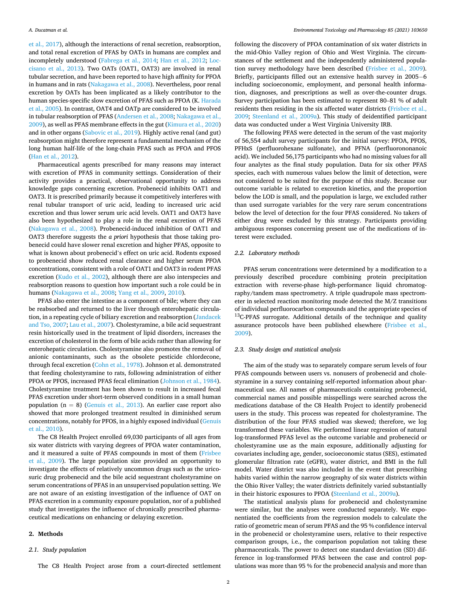[et al., 2017\)](#page-5-0), although the interactions of renal secretion, reabsorption, and total renal excretion of PFAS by OATs in humans are complex and incompletely understood ([Fabrega et al., 2014](#page-4-0); [Han et al., 2012;](#page-4-0) [Loc](#page-5-0)[cisano et al., 2013\)](#page-5-0). Two OATs (OAT1, OAT3) are involved in renal tubular secretion, and have been reported to have high affinity for PFOA in humans and in rats [\(Nakagawa et al., 2008](#page-5-0)). Nevertheless, poor renal excretion by OATs has been implicated as a likely contributor to the human species-specific slow excretion of PFAS such as PFOA (K. [Harada](#page-4-0)  [et al., 2005](#page-4-0)). In contrast, OAT4 and OATp are considered to be involved in tubular reabsorption of PFAS ([Andersen et al., 2008;](#page-4-0) [Nakagawa et al.,](#page-5-0)  [2009\)](#page-5-0), as well as PFAS membrane effects in the gut ([Kimura et al., 2020\)](#page-5-0) and in other organs ([Sabovic et al., 2019\)](#page-5-0). Highly active renal (and gut) reabsorption might therefore represent a fundamental mechanism of the long human half-life of the long-chain PFAS such as PFOA and PFOS ([Han et al., 2012\)](#page-4-0).

Pharmaceutical agents prescribed for many reasons may interact with excretion of PFAS in community settings. Consideration of their activity provides a practical, observational opportunity to address knowledge gaps concerning excretion. Probenecid inhibits OAT1 and OAT3. It is prescribed primarily because it competitively interferes with renal tubular transport of uric acid, leading to increased uric acid excretion and thus lower serum uric acid levels. OAT1 and OAT3 have also been hypothesized to play a role in the renal excretion of PFAS ([Nakagawa et al., 2008](#page-5-0)). Probenecid-induced inhibition of OAT1 and OAT3 therefore suggests the *a priori* hypothesis that those taking probenecid could have slower renal excretion and higher PFAS, opposite to what is known about probenecid's effect on uric acid. Rodents exposed to probenecid show reduced renal clearance and higher serum PFOA concentrations, consistent with a role of OAT1 and OAT3 in rodent PFAS excretion [\(Kudo et al., 2002](#page-5-0)), although there are also interspecies and reabsorption reasons to question how important such a role could be in humans ([Nakagawa et al., 2008;](#page-5-0) [Yang et al., 2009,](#page-5-0) [2010](#page-5-0)).

PFAS also enter the intestine as a component of bile; where they can be reabsorbed and returned to the liver through enterohepatic circulation, in a repeating cycle of biliary excretion and reabsorption ([Jandacek](#page-4-0)  [and Tso, 2007;](#page-4-0) [Lau et al., 2007\)](#page-5-0). Cholestyramine, a bile acid sequestrant resin historically used in the treatment of lipid disorders, increases the excretion of cholesterol in the form of bile acids rather than allowing for enterohepatic circulation. Cholestyramine also promotes the removal of anionic contaminants, such as the obsolete pesticide chlordecone, through fecal excretion ([Cohn et al., 1978](#page-4-0)). Johnson et al. demonstrated that feeding cholestyramine to rats, following administration of either PFOA or PFOS, increased PFAS fecal elimination ([Johnson et al., 1984](#page-4-0)). Cholestyramine treatment has been shown to result in increased fecal PFAS excretion under short-term observed conditions in a small human population ( $n = 8$ ) [\(Genuis et al., 2013](#page-4-0)). An earlier case report also showed that more prolonged treatment resulted in diminished serum concentrations, notably for PFOS, in a highly exposed individual ([Genuis](#page-4-0)  [et al., 2010\)](#page-4-0).

The C8 Health Project enrolled 69,030 participants of all ages from six water districts with varying degrees of PFOA water contamination, and it measured a suite of PFAS compounds in most of them [\(Frisbee](#page-4-0)  [et al., 2009\)](#page-4-0). The large population size provided an opportunity to investigate the effects of relatively uncommon drugs such as the uricosuric drug probenecid and the bile acid sequestrant cholestyramine on serum concentrations of PFAS in an unsupervised population setting. We are not aware of an existing investigation of the influence of OAT on PFAS excretion in a community exposure population, nor of a published study that investigates the influence of chronically prescribed pharmaceutical medications on enhancing or delaying excretion.

## **2. Methods**

# *2.1. Study population*

The C8 Health Project arose from a court-directed settlement

following the discovery of PFOA contamination of six water districts in the mid-Ohio Valley region of Ohio and West Virginia. The circumstances of the settlement and the independently administered population survey methodology have been described [\(Frisbee et al., 2009](#page-4-0)). Briefly, participants filled out an extensive health survey in 2005-6 including socioeconomic, employment, and personal health information, diagnoses, and prescriptions as well as over-the-counter drugs. Survey participation has been estimated to represent 80–81 % of adult residents then residing in the six affected water districts [\(Frisbee et al.,](#page-4-0)  [2009;](#page-4-0) [Steenland et al., 2009a](#page-5-0)). This study of deidentified participant data was conducted under a West Virginia University IRB.

The following PFAS were detected in the serum of the vast majority of 56,554 adult survey participants for the initial survey: PFOA, PFOS, PFHxS (perfluorohexane sulfonate), and PFNA (perfluorononanoic acid). We included 56,175 participants who had no missing values for all four analytes as the final study population. Data for six other PFAS species, each with numerous values below the limit of detection, were not considered to be suited for the purpose of this study. Because our outcome variable is related to excretion kinetics, and the proportion below the LOD is small, and the population is large, we excluded rather than used surrogate variables for the very rare serum concentrations below the level of detection for the four PFAS considered. No takers of either drug were excluded by this strategy. Participants providing ambiguous responses concerning present use of the medications of interest were excluded.

# *2.2. Laboratory methods*

PFAS serum concentrations were determined by a modification to a previously described procedure combining protein precipitation extraction with reverse-phase high-performance liquid chromatography/tandem mass spectrometry. A triple quadrupole mass spectrometer in selected reaction monitoring mode detected the M/Z transitions of individual perfluorocarbon compounds and the appropriate species of  $^{13}$ C-PFAS surrogate. Additional details of the technique and quality assurance protocols have been published elsewhere [\(Frisbee et al.,](#page-4-0)  [2009\)](#page-4-0).

## *2.3. Study design and statistical analysis*

The aim of the study was to separately compare serum levels of four PFAS compounds between users vs. nonusers of probenecid and cholestyramine in a survey containing self-reported information about pharmaceutical use. All names of pharmaceuticals containing probenecid, commercial names and possible misspellings were searched across the medications database of the C8 Health Project to identify probenecid users in the study. This process was repeated for cholestyramine. The distribution of the four PFAS studied was skewed; therefore, we log transformed these variables. We performed linear regression of natural log-transformed PFAS level as the outcome variable and probenecid or cholestyramine use as the main exposure, additionally adjusting for covariates including age, gender, socioeconomic status (SES), estimated glomerular filtration rate (eGFR), water district, and BMI in the full model. Water district was also included in the event that prescribing habits varied within the narrow geography of six water districts within the Ohio River Valley; the water districts definitely varied substantially in their historic exposures to PFOA ([Steenland et al., 2009a](#page-5-0)).

The statistical analysis plans for probenecid and cholestyramine were similar, but the analyses were conducted separately. We exponentiated the coefficients from the regression models to calculate the ratio of geometric mean of serum PFAS and the 95 % confidence interval in the probenecid or cholestyramine users, relative to their respective comparison groups, i.e., the comparison population not taking these pharmaceuticals. The power to detect one standard deviation (SD) difference in log-transformed PFAS between the case and control populations was more than 95 % for the probenecid analysis and more than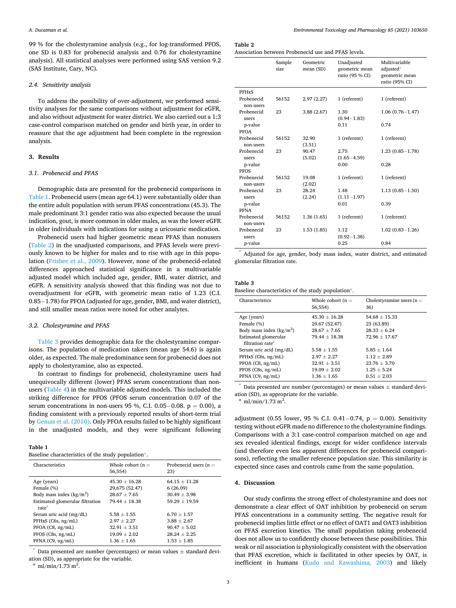99 % for the cholestyramine analysis (e.g., for log-transformed PFOS, one SD is 0.83 for probenecid analysis and 0.76 for cholestyramine analysis). All statistical analyses were performed using SAS version 9.2 (SAS Institute, Cary, NC).

# *2.4. Sensitivity analysis*

To address the possibility of over-adjustment, we performed sensitivity analyses for the same comparisons without adjustment for eGFR, and also without adjustment for water district. We also carried out a 1:3 case-control comparison matched on gender and birth year, in order to reassure that the age adjustment had been complete in the regression analysis.

### **3. Results**

## *3.1. Probenecid and PFAS*

Demographic data are presented for the probenecid comparisons in Table 1. Probenecid users (mean age 64.1) were substantially older than the entire adult population with serum PFAS concentrations (45.3). The male predominant 3:1 gender ratio was also expected because the usual indication, gout, is more common in older males, as was the lower eGFR in older individuals with indications for using a uricosuric medication.

Probenecid users had higher geometric mean PFAS than nonusers (Table 2) in the unadjusted comparisons, and PFAS levels were previously known to be higher for males and to rise with age in this population ([Frisbee et al., 2009](#page-4-0)). However, none of the probenecid-related differences approached statistical significance in a multivariable adjusted model which included age, gender, BMI, water district, and eGFR. A sensitivity analysis showed that this finding was not due to overadjustment for eGFR, with geometric mean ratio of 1.23 (C.I. 0.85− 1.78) for PFOA (adjusted for age, gender, BMI, and water district), and still smaller mean ratios were noted for other analytes.

#### *3.2. Cholestyramine and PFAS*

Table 3 provides demographic data for the cholestyramine comparisons. The population of medication takers (mean age 54.6) is again older, as expected. The male predominance seen for probenecid does not apply to cholestyramine, also as expected.

In contrast to findings for probenecid, cholestyramine users had unequivocally different (lower) PFAS serum concentrations than nonusers ([Table 4](#page-3-0)) in the multivariable adjusted models. This included the striking difference for PFOS (PFOS serum concentration 0.07 of the serum concentrations in non-users 95 %, C.I. 0.05–0.08.  $p = 0.00$ ), a finding consistent with a previously reported results of short-term trial by [Genuis et al. \(2010\)](#page-4-0). Only PFOA results failed to be highly significant in the unadjusted models, and they were significant following

# **Table 1**

|  | Baseline characteristics of the study population*. |  |  |  |  |
|--|----------------------------------------------------|--|--|--|--|
|--|----------------------------------------------------|--|--|--|--|

| Characteristics                                                                                                 | Whole cohort $(n =$<br>56,554)                                                      | Probenecid users $(n =$<br>23)                                                        |
|-----------------------------------------------------------------------------------------------------------------|-------------------------------------------------------------------------------------|---------------------------------------------------------------------------------------|
| Age (years)<br>Female (%)<br>Body mass index $(kg/m^2)$<br>Estimated glomerular filtration<br>rate <sup>a</sup> | $45.30 + 16.28$<br>29,675 (52.47)<br>$28.67 + 7.65$<br>$79.44 \pm 18.38$            | $64.15 + 11.28$<br>6(26.09)<br>$30.49 + 3.98$<br>$59.29 + 19.59$                      |
| Serum uric acid (mg/dL)<br>$PFHxS$ (C6s, ng/mL)<br>PFOA (C8, ng/mL)<br>PFOS (C8s, ng/mL)<br>PFNA (C9, ng/mL)    | $5.58 + 1.55$<br>$2.97 + 2.27$<br>$32.91 + 3.51$<br>$19.09 + 2.02$<br>$1.36 + 1.65$ | $6.70 \pm 1.57$<br>$3.88 + 2.67$<br>$90.47 + 5.02$<br>$28.24 + 2.25$<br>$1.53 + 1.85$ |

Data presented are number (percentages) or mean values  $\pm$  standard deviation (SD), as appropriate for the variable.

 $^a$  ml/min/1.73 m<sup>2</sup>.

**Table 2** 

Association between Probenecid use and PFAS levels.

|                         | Sample<br>size | Geometric<br>mean (SD) | Unadjusted<br>geometric mean<br>ratio (95 % CI) | Multivariable<br>adjusted*<br>geometric mean<br>ratio (95% CI) |
|-------------------------|----------------|------------------------|-------------------------------------------------|----------------------------------------------------------------|
| <b>PFHxS</b>            |                |                        |                                                 |                                                                |
| Probenecid<br>non-users | 56152          | 2.97(2.27)             | 1 (referent)                                    | 1 (referent)                                                   |
| Probenecid<br>users     | 23             | 3.88(2.67)             | 1.30<br>$(0.94 - 1.83)$                         | $1.06(0.76 - 1.47)$                                            |
| p-value<br>PFOA         |                |                        | 0.11                                            | 0.74                                                           |
| Probenecid<br>non-users | 56152          | 32.90<br>(3.51)        | 1 (referent)                                    | 1 (referent)                                                   |
| Probenecid<br>users     | 23             | 90.47<br>(5.02)        | 2.75<br>$(1.65 - 4.59)$                         | $1.23(0.85 - 1.78)$                                            |
| p-value<br><b>PFOS</b>  |                |                        | 0.00                                            | 0.28                                                           |
| Probenecid<br>non-users | 56152          | 19.08<br>(2.02)        | 1 (referent)                                    | 1 (referent)                                                   |
| Probenecid<br>users     | 23             | 28.24<br>(2.24)        | 1.48<br>$(1.11 - 1.97)$                         | $1.13(0.85 - 1.50)$                                            |
| p-value<br><b>PFNA</b>  |                |                        | 0.01                                            | 0.39                                                           |
| Probenecid<br>non-users | 56152          | 1.36(1.65)             | 1 (referent)                                    | 1 (referent)                                                   |
| Probenecid<br>users     | 23             | 1.53(1.85)             | 1.12<br>$(0.92 - 1.38)$                         | $1.02(0.83 - 1.26)$                                            |
| p-value                 |                |                        | 0.25                                            | 0.84                                                           |

Adjusted for age, gender, body mass index, water district, and estimated glomerular filtration rate.

# **Table 3**

Baseline characteristics of the study population\*.

| Characteristics                                                                                                | Whole cohort $(n =$<br>56,554)                                                            | Cholestyramine users $(n =$<br>36)                                                   |
|----------------------------------------------------------------------------------------------------------------|-------------------------------------------------------------------------------------------|--------------------------------------------------------------------------------------|
| Age (years)<br>Female (%)<br>Body mass index $(kg/m2)$<br>Estimated glomerular<br>filtration rate <sup>a</sup> | $45.30 + 16.28$<br>29.67 (52.47)<br>$28.67 \pm 7.65$<br>$79.44 \pm 18.38$                 | $54.68 + 15.33$<br>23 (63.89)<br>$28.33 + 6.24$<br>$72.96 + 17.67$                   |
| Serum uric acid (mg/dL)<br>$PFHxS$ (C6s, ng/mL)<br>PFOA (C8, ng/mL)<br>PFOS (C8s, ng/mL)<br>PFNA (C9, ng/mL)   | $5.58 + 1.55$<br>$2.97 \pm 2.27$<br>$32.91 \pm 3.51$<br>$19.09 + 2.02$<br>$1.36 \pm 1.65$ | $5.85 \pm 1.64$<br>$1.12 + 2.89$<br>$23.76 + 3.70$<br>$1.25 + 5.24$<br>$0.51 + 2.03$ |

 $*$  Data presented are number (percentages) or mean values  $\pm$  standard deviation (SD), as appropriate for the variable.

 $^{\rm a}$  ml/min/1.73 m<sup>2</sup>.

adjustment (0.55 lower, 95 % C.I. 0.41 - 0.74, p = 0.00). Sensitivity testing without eGFR made no difference to the cholestyramine findings. Comparisons with a 3:1 case-control comparison matched on age and sex revealed identical findings, except for wider confidence intervals (and therefore even less apparent differences for probenecid comparisons), reflecting the smaller reference population size. This similarity is expected since cases and controls came from the same population.

# **4. Discussion**

Our study confirms the strong effect of cholestyramine and does not demonstrate a clear effect of OAT inhibition by probenecid on serum PFAS concentrations in a community setting. The negative result for probenecid implies little effect or no effect of OAT1 and OAT3 inhibition on PFAS excretion kinetics. The small population taking probenecid does not allow us to confidently choose between these possibilities. This weak or nil association is physiologically consistent with the observation that PFAS excretion, which is facilitated in other species by OAT, is inefficient in humans ([Kudo and Kawashima, 2003\)](#page-5-0) and likely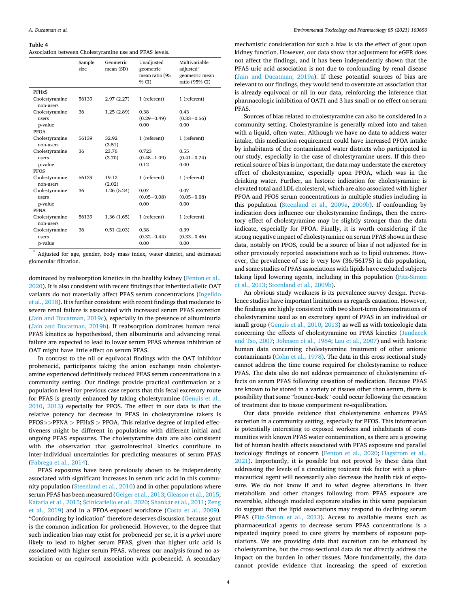#### <span id="page-3-0"></span>**Table 4**

Association between Cholestyramine use and PFAS levels.

|                                                          | Sample<br>size | Geometric<br>mean (SD) | Unadjusted<br>geometric<br>mean ratio (95<br>% CD | Multivariable<br>adjusted*<br>geometric mean<br>ratio (95% CI) |
|----------------------------------------------------------|----------------|------------------------|---------------------------------------------------|----------------------------------------------------------------|
| <b>PFHxS</b>                                             |                |                        |                                                   |                                                                |
| Cholestyramine<br>non-users                              | 56139          | 2.97(2.27)             | 1 (referent)                                      | 1 (referent)                                                   |
| Cholestyramine<br>users<br>p-value<br>PFOA               | 36             | 1.25(2.89)             | 0.38<br>$(0.29 - 0.49)$<br>0.00                   | 0.43<br>$(0.33 - 0.56)$<br>0.00                                |
| Cholestyramine<br>non-users                              | 56139          | 32.92<br>(3.51)        | 1 (referent)                                      | 1 (referent)                                                   |
| Cholestyramine<br><b>users</b><br>p-value<br><b>PFOS</b> | 36             | 23.76<br>(3.70)        | 0.723<br>$(0.48 - 1.09)$<br>0.12                  | 0.55<br>$(0.41 - 0.74)$<br>0.00                                |
| Cholestyramine<br>non-users                              | 56139          | 19.12<br>(2.02)        | 1 (referent)                                      | 1 (referent)                                                   |
| Cholestyramine<br><b>users</b><br>p-value<br><b>PFNA</b> | 36             | 1.26(5.24)             | 0.07<br>$(0.05 - 0.08)$<br>0.00                   | 0.07<br>$(0.05 - 0.08)$<br>0.00                                |
| Cholestyramine<br>non-users                              | 56139          | 1.36(1.65)             | 1 (referent)                                      | 1 (referent)                                                   |
| Cholestyramine<br>users<br>p-value                       | 36             | 0.51(2.03)             | 0.38<br>$(0.32 - 0.44)$<br>0.00                   | 0.39<br>$(0.33 - 0.46)$<br>0.00                                |

\* Adjusted for age, gender, body mass index, water district, and estimated glomerular filtration.

dominated by reabsorption kinetics in the healthy kidney ([Fenton et al.,](#page-4-0)  [2020\)](#page-4-0). It is also consistent with recent findings that inherited allelic OAT variants do not materially affect PFAS serum concentrations ([Ingelido](#page-4-0)  [et al., 2018](#page-4-0)). It is further consistent with recent findings that moderate to severe renal failure is associated with increased serum PFAS excretion ([Jain and Ducatman, 2019c](#page-4-0)), especially in the presence of albuminuria ([Jain and Ducatman, 2019b\)](#page-4-0). If reabsorption dominates human renal PFAS kinetics as hypothesized, then albuminuria and advancing renal failure are expected to lead to lower serum PFAS whereas inhibition of OAT might have little effect on serum PFAS.

In contrast to the nil or equivocal findings with the OAT inhibitor probenecid, participants taking the anion exchange resin cholestyramine experienced definitively reduced PFAS serum concentrations in a community setting. Our findings provide practical confirmation at a population level for previous case reports that this fecal excretory route for PFAS is greatly enhanced by taking cholestyramine [\(Genuis et al.,](#page-4-0)  [2010,](#page-4-0) [2013\)](#page-4-0) especially for PFOS. The effect in our data is that the relative potency for decrease in PFAS in cholestyramine takers is PFOS*>>*PFNA *>* PFHxS *>* PFOA. This relative degree of implied effectiveness might be different in populations with different initial and ongoing PFAS exposures. The cholestyramine data are also consistent with the observation that gastrointestinal kinetics contribute to inter-individual uncertainties for predicting measures of serum PFAS ([Fabrega et al., 2014](#page-4-0)).

PFAS exposures have been previously shown to be independently associated with significant increases in serum uric acid in this community population ([Steenland et al., 2010](#page-5-0)) and in other populations where serum PFAS has been measured [\(Geiger et al., 2013](#page-4-0); [Gleason et al., 2015](#page-4-0); [Kataria et al., 2015](#page-5-0); [Scinicariello et al., 2020](#page-5-0); [Shankar et al., 2011](#page-5-0); [Zeng](#page-5-0)  [et al., 2019](#page-5-0)) and in a PFOA-exposed workforce [\(Costa et al., 2009](#page-4-0)). "Confounding by indication" therefore deserves discussion because gout is the common indication for probenecid. However, to the degree that such indication bias may exist for probenecid per se, it is *a priori* more likely to lead to higher serum PFAS, given that higher uric acid is associated with higher serum PFAS, whereas our analysis found no association or an equivocal association with probenecid. A secondary

mechanistic consideration for such a bias is via the effect of gout upon kidney function. However, our data show that adjustment for eGFR does not affect the findings, and it has been independently shown that the PFAS-uric acid association is not due to confounding by renal disease ([Jain and Ducatman, 2019a](#page-4-0)). If these potential sources of bias are relevant to our findings, they would tend to overstate an association that is already equivocal or nil in our data, reinforcing the inference that pharmacologic inhibition of OAT1 and 3 has small or no effect on serum PFAS.

Sources of bias related to cholestyramine can also be considered in a community setting. Cholestyramine is generally mixed into and taken with a liquid, often water. Although we have no data to address water intake, this medication requirement could have increased PFOA intake by inhabitants of the contaminated water districts who participated in our study, especially in the case of cholestyramine users. If this theoretical source of bias is important, the data may understate the excretory effect of cholestyramine, especially upon PFOA, which was in the drinking water. Further, an historic indication for cholestyramine is elevated total and LDL cholesterol, which are also associated with higher PFOA and PFOS serum concentrations in multiple studies including in this population [\(Steenland et al., 2009a](#page-5-0), [2009b\)](#page-5-0). If confounding by indication does influence our cholestyramine findings, then the excretory effect of cholestyramine may be slightly stronger than the data indicate, especially for PFOA. Finally, it is worth considering if the strong negative impact of cholestyramine on serum PFAS shown in these data, notably on PFOS, could be a source of bias if not adjusted for in other previously reported associations such as to lipid outcomes. However, the prevalence of use is very low (36/56175) in this population, and some studies of PFAS associations with lipids have excluded subjects taking lipid lowering agents, including in this population ([Fitz-Simon](#page-4-0)  [et al., 2013;](#page-4-0) [Steenland et al., 2009b](#page-5-0)).

An obvious study weakness is its prevalence survey design. Prevalence studies have important limitations as regards causation. However, the findings are highly consistent with two short-term demonstrations of cholestyramine used as an excretory agent of PFAS in an individual or small group [\(Genuis et al., 2010, 2013](#page-4-0)) as well as with toxicologic data concerning the effects of cholestyramine on PFAS kinetics ([Jandacek](#page-4-0)  [and Tso, 2007; Johnson et al., 1984;](#page-4-0) [Lau et al., 2007](#page-5-0)) and with historic human data concerning cholestyramine treatment of other anionic contaminants [\(Cohn et al., 1978](#page-4-0)). The data in this cross sectional study cannot address the time course required for cholestyramine to reduce PFAS. The data also do not address permanence of cholestyramine effects on serum PFAS following cessation of medication. Because PFAS are known to be stored in a variety of tissues other than serum, there is possibility that some "bounce-back" could occur following the cessation of treatment due to tissue compartment re-equilibration.

Our data provide evidence that cholestyramine enhances PFAS excretion in a community setting, especially for PFOS. This information is potentially interesting to exposed workers and inhabitants of communities with known PFAS water contamination, as there are a growing list of human health effects associated with PFAS exposure and parallel toxicology findings of concern [\(Fenton et al., 2020](#page-4-0); [Hagstrom et al.,](#page-4-0)  [2021\)](#page-4-0). Importantly, it is possible but not proved by these data that addressing the levels of a circulating toxicant risk factor with a pharmaceutical agent will necessarily also decrease the health risk of exposure. We do not know if and to what degree alterations in liver metabolism and other changes following from PFAS exposure are reversible, although modeled exposure studies in this same population do suggest that the lipid associations may respond to declining serum PFAS [\(Fitz-Simon et al., 2013\)](#page-4-0). Access to available means such as pharmaceutical agents to decrease serum PFAS concentrations is a repeated inquiry posed to care givers by members of exposure populations. We are providing data that excretion can be enhanced by cholestyramine, but the cross-sectional data do not directly address the impact on the burden in other tissues. More fundamentally, the data cannot provide evidence that increasing the speed of excretion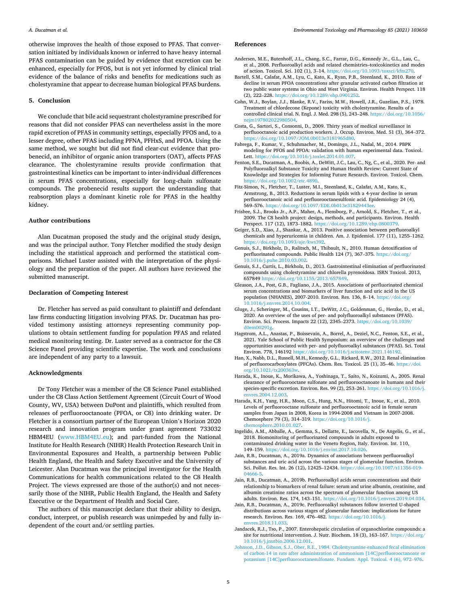<span id="page-4-0"></span>otherwise improves the health of those exposed to PFAS. That conversation initiated by individuals known or inferred to have heavy internal PFAS contamination can be guided by evidence that excretion can be enhanced, especially for PFOS, but is not yet informed by clinical trial evidence of the balance of risks and benefits for medications such as cholestyramine that appear to decrease human biological PFAS burdens.

## **5. Conclusion**

We conclude that bile acid sequestrant cholestyramine prescribed for reasons that did not consider PFAS can nevertheless assist in the more rapid excretion of PFAS in community settings, especially PFOS and, to a lesser degree, other PFAS including PFNA, PFHxS, and PFOA. Using the same method, we sought but did not find clear-cut evidence that probenecid, an inhibitor of organic anion transporters (OAT), affects PFAS clearance. The cholestyramine results provide confirmation that gastrointestinal kinetics can be important to inter-individual differences in serum PFAS concentrations, especially for long-chain sulfonate compounds. The probenecid results support the understanding that reabsorption plays a dominant kinetic role for PFAS in the healthy kidney.

# **Author contributions**

Alan Ducatman proposed the study and the original study design, and was the principal author. Tony Fletcher modified the study design including the statistical approach and performed the statistical comparisons. Michael Luster assisted with the interpretation of the physiology and the preparation of the paper. All authors have reviewed the submitted manuscript.

#### **Declaration of Competing Interest**

Dr. Fletcher has served as paid consultant to plaintiff and defendant law firms conducting litigation involving PFAS. Dr. Ducatman has provided testimony assisting attorneys representing community populations to obtain settlement funding for population PFAS and related medical monitoring testing. Dr. Luster served as a contractor for the C8 Science Panel providing scientific expertise. The work and conclusions are independent of any party to a lawsuit.

#### **Acknowledgments**

Dr Tony Fletcher was a member of the C8 Science Panel established under the C8 Class Action Settlement Agreement (Circuit Court of Wood County, WV, USA) between DuPont and plaintiffs, which resulted from releases of perfluorooctanoate (PFOA, or C8) into drinking water. Dr Fletcher is a consortium partner of the European Union's Horizon 2020 research and innovation program under grant agreement 733032 HBM4EU ([www.HBM4EU.eu\)](http://www.HBM4EU.eu); and part-funded from the National Institute for Health Research (NIHR) Health Protection Research Unit in Environmental Exposures and Health, a partnership between Public Health England, the Health and Safety Executive and the University of Leicester. Alan Ducatman was the principal investigator for the Health Communications for health communications related to the C8 Health Project. The views expressed are those of the author(s) and not necessarily those of the NIHR, Public Health England, the Health and Safety Executive or the Department of Health and Social Care.

The authors of this manuscript declare that their ability to design, conduct, interpret, or publish research was unimpeded by and fully independent of the court and/or settling parties.

#### **References**

- Andersen, M.E., Butenhoff, J.L., Chang, S.C., Farrar, D.G., Kennedy Jr., G.L., Lau, C., et al., 2008. Perfluoroalkyl acids and related chemistries–toxicokinetics and modes of action. Toxicol. Sci. 102 (1), 3–14.<https://doi.org/10.1093/toxsci/kfm270>.
- Bartell, S.M., Calafat, A.M., Lyu, C., Kato, K., Ryan, P.B., Steenland, K., 2010. Rate of decline in serum PFOA concentrations after granular activated carbon filtration at two public water systems in Ohio and West Virginia. Environ. Health Perspect. 118 (2), 222–228. [https://doi.org/10.1289/ehp.0901252.](https://doi.org/10.1289/ehp.0901252)
- Cohn, W.J., Boylan, J.J., Blanke, R.V., Fariss, M.W., Howell, J.R., Guzelian, P.S., 1978. Treatment of chlordecone (Kepone) toxicity with cholestyramine. Results of a controlled clinical trial. N. Engl. J. Med. 298 (5), 243–248. [https://doi.org/10.1056/](https://doi.org/10.1056/nejm197802022980504)  [nejm197802022980504](https://doi.org/10.1056/nejm197802022980504).
- Costa, G., Sartori, S., Consonni, D., 2009. Thirty years of medical surveillance in perfluooctanoic acid production workers. J. Occup. Environ. Med. 51 (3), 364–372. <https://doi.org/10.1097/JOM.0b013e3181965d80>.
- Fabrega, F., Kumar, V., Schuhmacher, M., Domingo, J.L., Nadal, M., 2014. PBPK modeling for PFOS and PFOA: validation with human experimental data. Toxicol. Lett. [https://doi.org/10.1016/j.toxlet.2014.01.007.](https://doi.org/10.1016/j.toxlet.2014.01.007)
- Fenton, S.E., Ducatman, A., Boobis, A., DeWitt, J.C., Lau, C., Ng, C., et al., 2020. Per- and Polyfluoroalkyl Substance Toxicity and Human Health Review: Current State of Knowledge and Strategies for Informing Future Research. Environ. Toxicol. Chem. [https://doi.org/10.1002/etc.4890.](https://doi.org/10.1002/etc.4890)
- Fitz-Simon, N., Fletcher, T., Luster, M.I., Steenland, K., Calafat, A.M., Kato, K., Armstrong, B., 2013. Reductions in serum lipids with a 4-year decline in serum perfluorooctanoic acid and perfluorooctanesulfonic acid. Epidemiology 24 (4), 569–576. [https://doi.org/10.1097/EDE.0b013e31829443ee.](https://doi.org/10.1097/EDE.0b013e31829443ee)
- Frisbee, S.J., Brooks Jr., A.P., Maher, A., Flensborg, P., Arnold, S., Fletcher, T., et al., 2009. The C8 health project: design, methods, and participants. Environ. Health Perspect. 117 (12), 1873–1882. [https://doi.org/10.1289/ehp.0800379.](https://doi.org/10.1289/ehp.0800379)
- Geiger, S.D., Xiao, J., Shankar, A., 2013. Positive association between perfluoroalkyl chemicals and hyperuricemia in children. Am. J. Epidemiol. 177 (11), 1255–1262. <https://doi.org/10.1093/aje/kws392>.
- Genuis, S.J., Birkholz, D., Ralitsch, M., Thibault, N., 2010. Human detoxification of perfluorinated compounds. Public Health 124 (7), 367–375. [https://doi.org/](https://doi.org/10.1016/j.puhe.2010.03.002) [10.1016/j.puhe.2010.03.002](https://doi.org/10.1016/j.puhe.2010.03.002).
- Genuis, S.J., Curtis, L., Birkholz, D., 2013. Gastrointestinal elimination of perfluorinated compounds using cholestyramine and chlorella pyrenoidosa. ISRN Toxicol. 2013, 657849 <https://doi.org/10.1155/2013/657849>.
- Gleason, J.A., Post, G.B., Fagliano, J.A., 2015. Associations of perfluorinated chemical serum concentrations and biomarkers of liver function and uric acid in the US population (NHANES), 2007-2010. Environ. Res. 136, 8–14. [https://doi.org/](https://doi.org/10.1016/j.envres.2014.10.004)  [10.1016/j.envres.2014.10.004.](https://doi.org/10.1016/j.envres.2014.10.004)
- Gluge, J., Scheringer, M., Cousins, I.T., DeWitt, J.C., Goldenman, G., Herzke, D., et al., 2020. An overview of the uses of per- and polyfluoroalkyl substances (PFAS). Environ. Sci. Process. Impacts 22 (12), 2345–2373. [https://doi.org/10.1039/](https://doi.org/10.1039/d0em00291g) [d0em00291g.](https://doi.org/10.1039/d0em00291g)
- Hagstrom, A.L., Anastas, P., Boissevain, A., Borrel, A., Deziel, N.C., Fenton, S.E., et al., 2021. Yale School of Public Health Symposium: an overview of the challenges and opportunities associated with per- and polyfluoroalkyl substances (PFAS). Sci. Total Environ. 778, 146192 <https://doi.org/10.1016/j.scitotenv.2021.146192>.
- Han, X., Nabb, D.L., Russell, M.H., Kennedy, G.L., Rickard, R.W., 2012. Renal elimination of perfluorocarboxylates (PFCAs). Chem. Res. Toxicol. 25 (1), 35-46. https://do [org/10.1021/tx200363w](https://doi.org/10.1021/tx200363w).
- Harada, K., Inoue, K., Morikawa, A., Yoshinaga, T., Saito, N., Koizumi, A., 2005. Renal clearance of perfluorooctane sulfonate and perfluorooctanoate in humans and their species-specific excretion. Environ. Res. 99 (2), 253–261. [https://doi.org/10.1016/j.](https://doi.org/10.1016/j.envres.2004.12.003)  [envres.2004.12.003](https://doi.org/10.1016/j.envres.2004.12.003).
- Harada, K.H., Yang, H.R., Moon, C.S., Hung, N.N., Hitomi, T., Inoue, K., et al., 2010. Levels of perfluorooctane sulfonate and perfluorooctanoic acid in female serum samples from Japan in 2008, Korea in 1994-2008 and Vietnam in 2007-2008. Chemosphere 79 (3), 314–319. [https://doi.org/10.1016/j.](https://doi.org/10.1016/j.chemosphere.2010.01.027)  here.2010.01.027.
- Ingelido, A.M., Abballe, A., Gemma, S., Dellatte, E., Iacovella, N., De Angelis, G., et al., 2018. Biomonitoring of perfluorinated compounds in adults exposed to contaminated drinking water in the Veneto Region, Italy. Environ. Int. 110, 149–159. <https://doi.org/10.1016/j.envint.2017.10.026>.
- Jain, R.B., Ducatman, A., 2019a. Dynamics of associations between perfluoroalkyl substances and uric acid across the various stages of glomerular function. Environ. Sci. Pollut. Res. Int. 26 (12), 12425–12434. [https://doi.org/10.1007/s11356-019-](https://doi.org/10.1007/s11356-019-04666-5) [04666-5](https://doi.org/10.1007/s11356-019-04666-5).
- Jain, R.B., Ducatman, A., 2019b. Perfluoroalkyl acids serum concentrations and their relationship to biomarkers of renal failure: serum and urine albumin, creatinine, and albumin creatinine ratios across the spectrum of glomerular function among US adults. Environ. Res. 174, 143–151. [https://doi.org/10.1016/j.envres.2019.04.034.](https://doi.org/10.1016/j.envres.2019.04.034)
- Jain, R.B., Ducatman, A., 2019c. Perfluoroalkyl substances follow inverted U-shaped distributions across various stages of glomerular function: implications for future research. Environ. Res. 169, 476–482. [https://doi.org/10.1016/j.](https://doi.org/10.1016/j.envres.2018.11.033)  [envres.2018.11.033](https://doi.org/10.1016/j.envres.2018.11.033).
- Jandacek, R.J., Tso, P., 2007. Enterohepatic circulation of organochlorine compounds: a site for nutritional intervention. J. Nutr. Biochem. 18 (3), 163–167. [https://doi.org/](https://doi.org/10.1016/j.jnutbio.2006.12.001)  [10.1016/j.jnutbio.2006.12.001.](https://doi.org/10.1016/j.jnutbio.2006.12.001)
- [Johnson, J.D., Gibson, S.J., Ober, R.E., 1984. Cholestyramine-enhanced fecal elimination](http://refhub.elsevier.com/S1382-6689(21)00068-5/sbref0115)  [of carbon-14 in rats after administration of ammonium \[14C\]perfluorooctanoate or](http://refhub.elsevier.com/S1382-6689(21)00068-5/sbref0115)  [potassium \[14C\]perfluorooctanesulfonate. Fundam. Appl. Toxicol. 4 \(6\), 972](http://refhub.elsevier.com/S1382-6689(21)00068-5/sbref0115)–976.